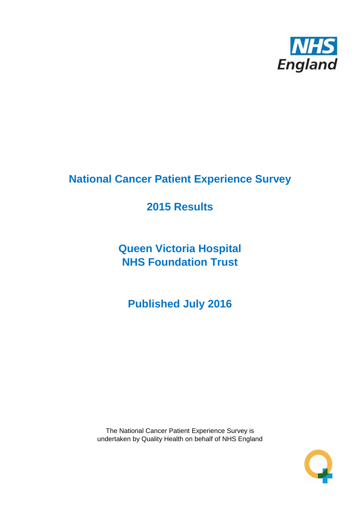

# **National Cancer Patient Experience Survey**

# **2015 Results**

**Queen Victoria Hospital NHS Foundation Trust**

**Published July 2016**

The National Cancer Patient Experience Survey is undertaken by Quality Health on behalf of NHS England

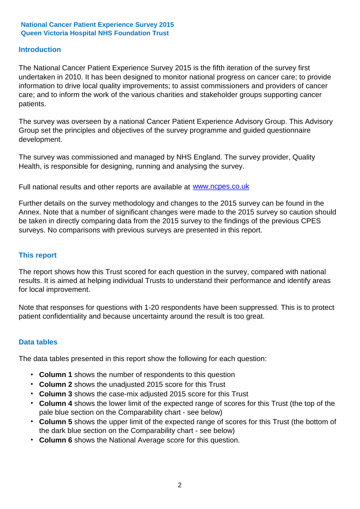### **Introduction**

The National Cancer Patient Experience Survey 2015 is the fifth iteration of the survey first undertaken in 2010. It has been designed to monitor national progress on cancer care; to provide information to drive local quality improvements; to assist commissioners and providers of cancer care; and to inform the work of the various charities and stakeholder groups supporting cancer patients.

The survey was overseen by a national Cancer Patient Experience Advisory Group. This Advisory Group set the principles and objectives of the survey programme and guided questionnaire development.

The survey was commissioned and managed by NHS England. The survey provider, Quality Health, is responsible for designing, running and analysing the survey.

Full national results and other reports are available at www.ncpes.co.uk

Further details on the survey methodology and changes to the 2015 survey can be found in the Annex. Note that a number of significant changes were made to the 2015 survey so caution should be taken in directly comparing data from the 2015 survey to the findings of the previous CPES surveys. No comparisons with previous surveys are presented in this report.

### **This report**

The report shows how this Trust scored for each question in the survey, compared with national results. It is aimed at helping individual Trusts to understand their performance and identify areas for local improvement.

Note that responses for questions with 1-20 respondents have been suppressed. This is to protect patient confidentiality and because uncertainty around the result is too great.

### **Data tables**

The data tables presented in this report show the following for each question:

- **Column 1** shows the number of respondents to this question
- **Column 2** shows the unadjusted 2015 score for this Trust
- **Column 3** shows the case-mix adjusted 2015 score for this Trust
- **Column 4** shows the lower limit of the expected range of scores for this Trust (the top of the pale blue section on the Comparability chart - see below)
- **Column 5** shows the upper limit of the expected range of scores for this Trust (the bottom of the dark blue section on the Comparability chart - see below)
- **Column 6** shows the National Average score for this question.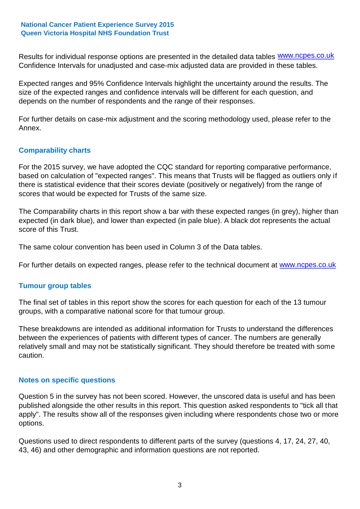Results for individual response options are presented in the detailed data tables **WWW.ncpes.co.uk** Confidence Intervals for unadjusted and case-mix adjusted data are provided in these tables.

Expected ranges and 95% Confidence Intervals highlight the uncertainty around the results. The size of the expected ranges and confidence intervals will be different for each question, and depends on the number of respondents and the range of their responses.

For further details on case-mix adjustment and the scoring methodology used, please refer to the Annex.

### **Comparability charts**

For the 2015 survey, we have adopted the CQC standard for reporting comparative performance, based on calculation of "expected ranges". This means that Trusts will be flagged as outliers only if there is statistical evidence that their scores deviate (positively or negatively) from the range of scores that would be expected for Trusts of the same size.

The Comparability charts in this report show a bar with these expected ranges (in grey), higher than expected (in dark blue), and lower than expected (in pale blue). A black dot represents the actual score of this Trust.

The same colour convention has been used in Column 3 of the Data tables.

For further details on expected ranges, please refer to the technical document at **www.ncpes.co.uk** 

### **Tumour group tables**

The final set of tables in this report show the scores for each question for each of the 13 tumour groups, with a comparative national score for that tumour group.

These breakdowns are intended as additional information for Trusts to understand the differences between the experiences of patients with different types of cancer. The numbers are generally relatively small and may not be statistically significant. They should therefore be treated with some caution.

### **Notes on specific questions**

Question 5 in the survey has not been scored. However, the unscored data is useful and has been published alongside the other results in this report. This question asked respondents to "tick all that apply". The results show all of the responses given including where respondents chose two or more options.

Questions used to direct respondents to different parts of the survey (questions 4, 17, 24, 27, 40, 43, 46) and other demographic and information questions are not reported.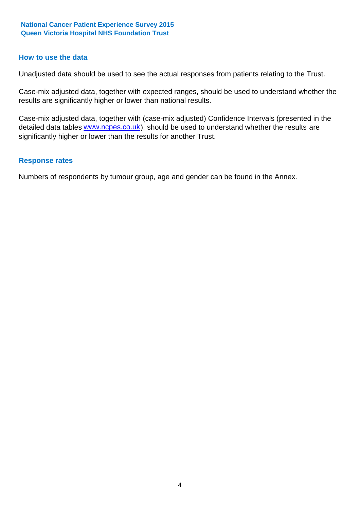### **How to use the data**

Unadjusted data should be used to see the actual responses from patients relating to the Trust.

Case-mix adjusted data, together with expected ranges, should be used to understand whether the results are significantly higher or lower than national results.

Case-mix adjusted data, together with (case-mix adjusted) Confidence Intervals (presented in the detailed data tables **www.ncpes.co.uk**), should be used to understand whether the results are significantly higher or lower than the results for another Trust.

### **Response rates**

Numbers of respondents by tumour group, age and gender can be found in the Annex.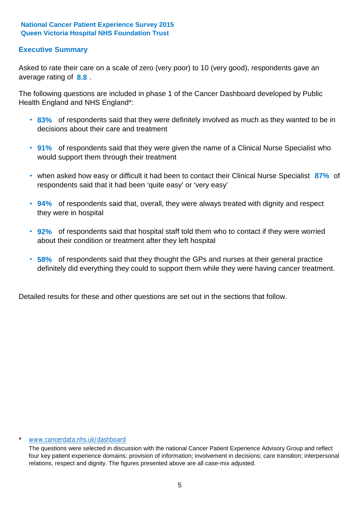# **Executive Summary**

average rating of **8.8**. Asked to rate their care on a scale of zero (very poor) to 10 (very good), respondents gave an

The following questions are included in phase 1 of the Cancer Dashboard developed by Public Health England and NHS England\*:

- **83%** of respondents said that they were definitely involved as much as they wanted to be in decisions about their care and treatment
- **91%** of respondents said that they were given the name of a Clinical Nurse Specialist who would support them through their treatment
- when asked how easy or difficult it had been to contact their Clinical Nurse Specialist 87% of respondents said that it had been 'quite easy' or 'very easy'
- **94%** of respondents said that, overall, they were always treated with dignity and respect they were in hospital
- **92%** of respondents said that hospital staff told them who to contact if they were worried about their condition or treatment after they left hospital
- **58%** of respondents said that they thought the GPs and nurses at their general practice definitely did everything they could to support them while they were having cancer treatment.

Detailed results for these and other questions are set out in the sections that follow.

#### \* www.cancerdata.nhs.uk/dashboard

The questions were selected in discussion with the national Cancer Patient Experience Advisory Group and reflect four key patient experience domains: provision of information; involvement in decisions; care transition; interpersonal relations, respect and dignity. The figures presented above are all case-mix adjusted.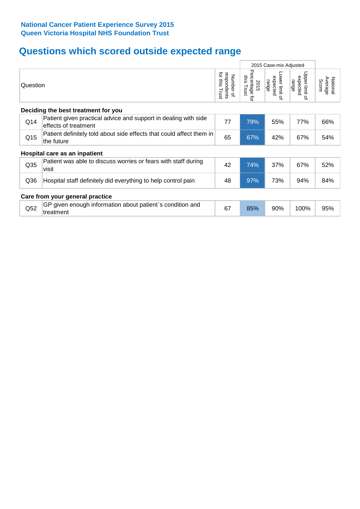# **Questions which scored outside expected range**

|                                 |                                                                                         |    | 2015 Case-mix Adjusted                        |                                     |                                                    |                              |
|---------------------------------|-----------------------------------------------------------------------------------------|----|-----------------------------------------------|-------------------------------------|----------------------------------------------------|------------------------------|
|                                 | Question                                                                                |    | Percentage<br>this Trust<br>2015<br>$\vec{q}$ | Lower limit of<br>expected<br>range | Upper limit<br>expected<br>range<br>$\vec{\sigma}$ | Average<br>National<br>Score |
|                                 | Deciding the best treatment for you                                                     |    |                                               |                                     |                                                    |                              |
| Q14                             | Patient given practical advice and support in dealing with side<br>effects of treatment | 77 | 79%                                           | 55%                                 | 77%                                                | 66%                          |
| Q15                             | Patient definitely told about side effects that could affect them in<br>the future      | 65 | 67%                                           | 42%                                 | 67%                                                | 54%                          |
|                                 | Hospital care as an inpatient                                                           |    |                                               |                                     |                                                    |                              |
| Q <sub>35</sub>                 | Patient was able to discuss worries or fears with staff during<br>visit                 | 42 | 74%                                           | 37%                                 | 67%                                                | 52%                          |
| Q36                             | Hospital staff definitely did everything to help control pain                           | 48 | 97%                                           | 73%                                 | 94%                                                | 84%                          |
| Care from your general practice |                                                                                         |    |                                               |                                     |                                                    |                              |
| Q <sub>52</sub>                 | GP given enough information about patient's condition and<br>treatment                  | 67 | 85%                                           | 90%                                 | 100%                                               | 95%                          |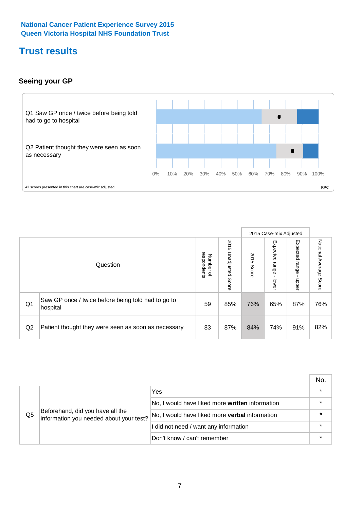# **Trust results**

# **Seeing your GP**



|    |                                                                |                                         |                             |               | 2015 Case-mix Adjusted     |                            |                           |
|----|----------------------------------------------------------------|-----------------------------------------|-----------------------------|---------------|----------------------------|----------------------------|---------------------------|
|    | Question                                                       | respondents<br>Number<br>$\overline{a}$ | 2015<br>Unadjusted<br>Score | 2015<br>Score | Expected<br>range<br>lower | Expected<br>range<br>dpper | National Average<br>Score |
| Q1 | Saw GP once / twice before being told had to go to<br>hospital | 59                                      | 85%                         | 76%           | 65%                        | 87%                        | 76%                       |
| Q2 | Patient thought they were seen as soon as necessary            | 83                                      | 87%                         | 84%           | 74%                        | 91%                        | 82%                       |

|    |                                                                             |                                                 | No. |
|----|-----------------------------------------------------------------------------|-------------------------------------------------|-----|
|    |                                                                             | Yes                                             |     |
|    | Beforehand, did you have all the<br>information you needed about your test? | No, I would have liked more written information |     |
| Q5 |                                                                             | No, I would have liked more verbal information  |     |
|    |                                                                             | I did not need / want any information           |     |
|    |                                                                             | Don't know / can't remember                     |     |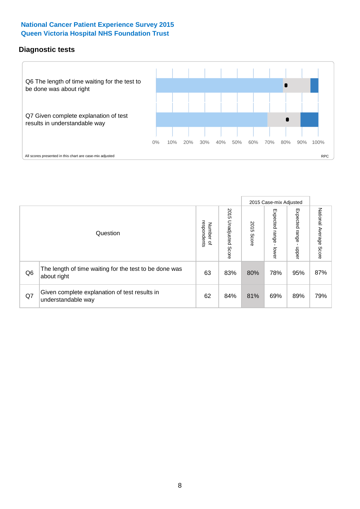# **Diagnostic tests**



|                |                                                                       |                                   |                             |               | 2015 Case-mix Adjusted  |                         |                           |
|----------------|-----------------------------------------------------------------------|-----------------------------------|-----------------------------|---------------|-------------------------|-------------------------|---------------------------|
|                | Question                                                              | respondents<br>Number<br>$\Omega$ | 2015<br>Unadjusted<br>Score | 2015<br>Score | Expected range<br>lower | Expected range<br>nbber | National Average<br>Score |
| Q <sub>6</sub> | The length of time waiting for the test to be done was<br>about right | 63                                | 83%                         | 80%           | 78%                     | 95%                     | 87%                       |
| Q7             | Given complete explanation of test results in<br>understandable way   | 62                                | 84%                         | 81%           | 69%                     | 89%                     | 79%                       |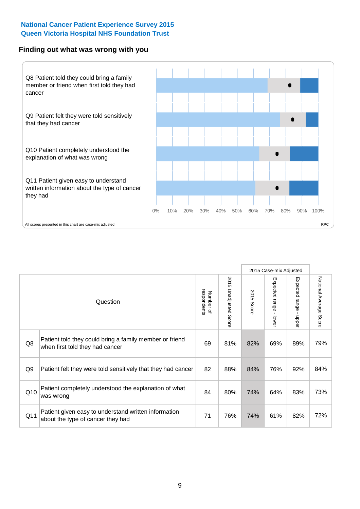### **Finding out what was wrong with you**



|                |                                                                                            |                          |                             |               | 2015 Case-mix Adjusted                            |                        |                           |
|----------------|--------------------------------------------------------------------------------------------|--------------------------|-----------------------------|---------------|---------------------------------------------------|------------------------|---------------------------|
|                | Question                                                                                   | respondents<br>Number of | 2015<br>Unadjusted<br>Score | 2015<br>Score | Expected<br><b>range</b><br>$\mathbf{L}$<br>lower | Expected range - upper | National Average<br>Score |
| Q8             | Patient told they could bring a family member or friend<br>when first told they had cancer | 69                       | 81%                         | 82%           | 69%                                               | 89%                    | 79%                       |
| Q <sub>9</sub> | Patient felt they were told sensitively that they had cancer                               | 82                       | 88%                         | 84%           | 76%                                               | 92%                    | 84%                       |
| Q10            | Patient completely understood the explanation of what<br>was wrong                         | 84                       | 80%                         | 74%           | 64%                                               | 83%                    | 73%                       |
| Q11            | Patient given easy to understand written information<br>about the type of cancer they had  | 71                       | 76%                         | 74%           | 61%                                               | 82%                    | 72%                       |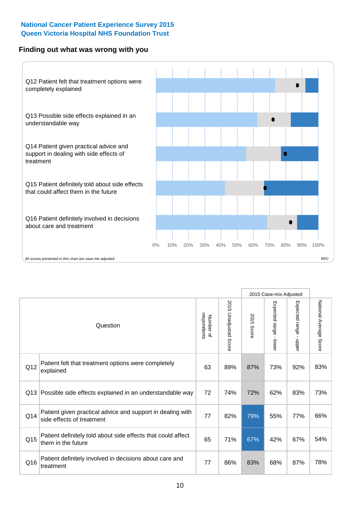# **Finding out what was wrong with you**



|     |                                                                                         |                          |                          |               |                                         | 2015 Case-mix Adjusted    |                        |
|-----|-----------------------------------------------------------------------------------------|--------------------------|--------------------------|---------------|-----------------------------------------|---------------------------|------------------------|
|     | Question                                                                                | respondents<br>Number of | 2015<br>Unadjusted Score | 2015<br>Score | Expected range<br>$\mathbf{r}$<br>lower | Expected range -<br>nbber | National Average Score |
| Q12 | Patient felt that treatment options were completely<br>explained                        | 63                       | 89%                      | 87%           | 73%                                     | 92%                       | 83%                    |
| Q13 | Possible side effects explained in an understandable way                                | 72                       | 74%                      | 72%           | 62%                                     | 83%                       | 73%                    |
| Q14 | Patient given practical advice and support in dealing with<br>side effects of treatment | 77                       | 82%                      | 79%           | 55%                                     | 77%                       | 66%                    |
| Q15 | Patient definitely told about side effects that could affect<br>them in the future      | 65                       | 71%                      | 67%           | 42%                                     | 67%                       | 54%                    |
| Q16 | Patient definitely involved in decisions about care and<br>treatment                    | 77                       | 86%                      | 83%           | 68%                                     | 87%                       | 78%                    |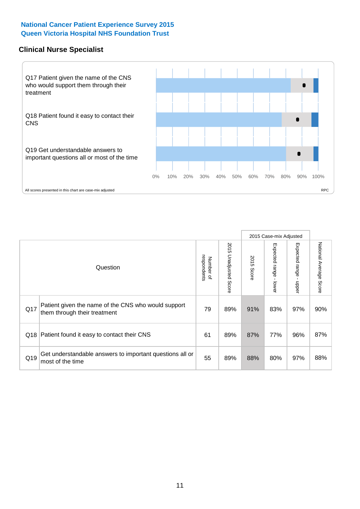# **Clinical Nurse Specialist**



|     |                                                                                     |                          |                       |               | 2015 Case-mix Adjusted  |                              |                                  |
|-----|-------------------------------------------------------------------------------------|--------------------------|-----------------------|---------------|-------------------------|------------------------------|----------------------------------|
|     | Question                                                                            | respondents<br>Number of | 2015 Unadjusted Score | 2015<br>Score | Expected range<br>lower | Expected<br>l range<br>nbber | National Average<br><b>Score</b> |
| Q17 | Patient given the name of the CNS who would support<br>them through their treatment | 79                       | 89%                   | 91%           | 83%                     | 97%                          | 90%                              |
|     | Q18 Patient found it easy to contact their CNS                                      | 61                       | 89%                   | 87%           | 77%                     | 96%                          | 87%                              |
| Q19 | Get understandable answers to important questions all or<br>most of the time        | 55                       | 89%                   | 88%           | 80%                     | 97%                          | 88%                              |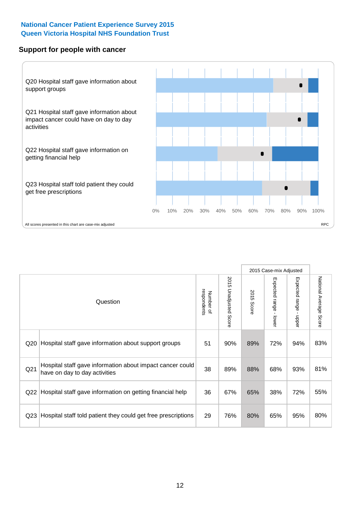### **Support for people with cancer**



|                 |                                                                                            |                          |                                 |               | 2015 Case-mix Adjusted  |                                           |                        |
|-----------------|--------------------------------------------------------------------------------------------|--------------------------|---------------------------------|---------------|-------------------------|-------------------------------------------|------------------------|
|                 | Question                                                                                   | respondents<br>Number of | 2015<br><b>Unadjusted Score</b> | 2015<br>Score | Expected range<br>lower | Expected range<br>$\blacksquare$<br>nbber | National Average Score |
| Q20             | Hospital staff gave information about support groups                                       | 51                       | 90%                             | 89%           | 72%                     | 94%                                       | 83%                    |
| Q <sub>21</sub> | Hospital staff gave information about impact cancer could<br>have on day to day activities | 38                       | 89%                             | 88%           | 68%                     | 93%                                       | 81%                    |
| Q22             | Hospital staff gave information on getting financial help                                  | 36                       | 67%                             | 65%           | 38%                     | 72%                                       | 55%                    |
| Q <sub>23</sub> | Hospital staff told patient they could get free prescriptions                              | 29                       | 76%                             | 80%           | 65%                     | 95%                                       | 80%                    |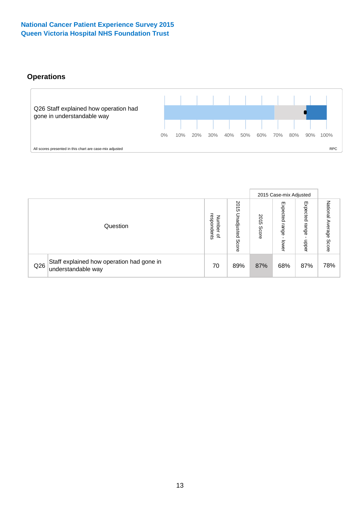# **Operations**



|     |                                                                 |                                              |                             |                   | 2015 Case-mix Adjusted     |                            |                              |
|-----|-----------------------------------------------------------------|----------------------------------------------|-----------------------------|-------------------|----------------------------|----------------------------|------------------------------|
|     | Question                                                        | respondents<br>Number<br>$\overline{\sigma}$ | 2015<br>Unadjusted<br>Score | 201<br>ຕ<br>Score | Expected<br>range<br>lower | Expected<br>range<br>doper | National<br>Average<br>Score |
| Q26 | Staff explained how operation had gone in<br>understandable way | 70                                           | 89%                         | 87%               | 68%                        | 87%                        | 78%                          |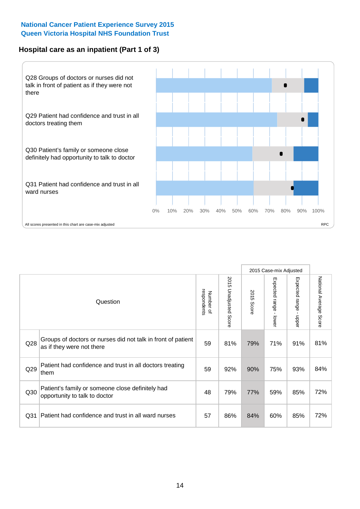# **Hospital care as an inpatient (Part 1 of 3)**



All scores presented in this chart are case-mix adjusted  $\textsf{RPC}$ 

|                 |                                                                                           |                          |                          |                      | 2015 Case-mix Adjusted  |                                           |                        |
|-----------------|-------------------------------------------------------------------------------------------|--------------------------|--------------------------|----------------------|-------------------------|-------------------------------------------|------------------------|
|                 | Question                                                                                  | respondents<br>Number of | 2015<br>Unadjusted Score | 2015<br><b>Score</b> | Expected range<br>lower | Expected range<br>$\blacksquare$<br>nbber | National Average Score |
| Q28             | Groups of doctors or nurses did not talk in front of patient<br>as if they were not there | 59                       | 81%                      | 79%                  | 71%                     | 91%                                       | 81%                    |
| Q29             | Patient had confidence and trust in all doctors treating<br>them                          | 59                       | 92%                      | 90%                  | 75%                     | 93%                                       | 84%                    |
| Q30             | Patient's family or someone close definitely had<br>opportunity to talk to doctor         | 48                       | 79%                      | 77%                  | 59%                     | 85%                                       | 72%                    |
| Q <sub>31</sub> | Patient had confidence and trust in all ward nurses                                       | 57                       | 86%                      | 84%                  | 60%                     | 85%                                       | 72%                    |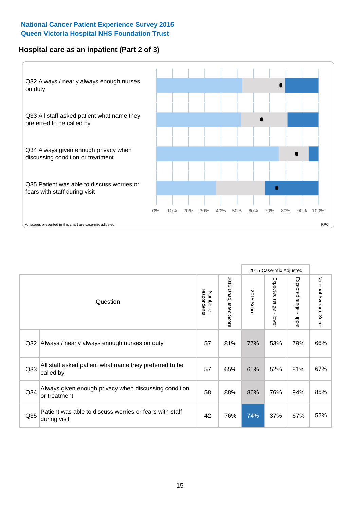# **Hospital care as an inpatient (Part 2 of 3)**



|                 |                                                                         |                          |                          | 2015 Case-mix Adjusted |                                         |                                           |                        |
|-----------------|-------------------------------------------------------------------------|--------------------------|--------------------------|------------------------|-----------------------------------------|-------------------------------------------|------------------------|
|                 | Question                                                                | respondents<br>Number of | 2015<br>Unadjusted Score | 2015<br>Score          | Expected range<br>$\mathbf{r}$<br>lower | Expected range<br>$\blacksquare$<br>nbber | National Average Score |
| Q <sub>32</sub> | Always / nearly always enough nurses on duty                            | 57                       | 81%                      | 77%                    | 53%                                     | 79%                                       | 66%                    |
| Q <sub>33</sub> | All staff asked patient what name they preferred to be<br>called by     | 57                       | 65%                      | 65%                    | 52%                                     | 81%                                       | 67%                    |
| Q34             | Always given enough privacy when discussing condition<br>or treatment   | 58                       | 88%                      | 86%                    | 76%                                     | 94%                                       | 85%                    |
| Q35             | Patient was able to discuss worries or fears with staff<br>during visit | 42                       | 76%                      | 74%                    | 37%                                     | 67%                                       | 52%                    |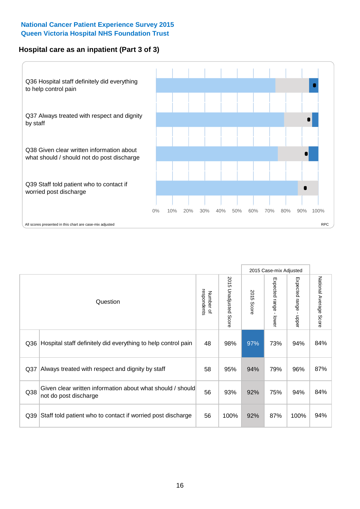# **Hospital care as an inpatient (Part 3 of 3)**



|                 |                                                                                     |                          |                                 |               | 2015 Case-mix Adjusted                  |                           |                        |
|-----------------|-------------------------------------------------------------------------------------|--------------------------|---------------------------------|---------------|-----------------------------------------|---------------------------|------------------------|
|                 | Question                                                                            | respondents<br>Number of | 2015<br><b>Unadjusted Score</b> | 2015<br>Score | Expected range<br>$\mathbf{r}$<br>lower | Expected range -<br>nbber | National Average Score |
| Q36             | Hospital staff definitely did everything to help control pain                       | 48                       | 98%                             | 97%           | 73%                                     | 94%                       | 84%                    |
| Q <sub>37</sub> | Always treated with respect and dignity by staff                                    | 58                       | 95%                             | 94%           | 79%                                     | 96%                       | 87%                    |
| Q38             | Given clear written information about what should / should<br>not do post discharge | 56                       | 93%                             | 92%           | 75%                                     | 94%                       | 84%                    |
| Q39             | Staff told patient who to contact if worried post discharge                         | 56                       | 100%                            | 92%           | 87%                                     | 100%                      | 94%                    |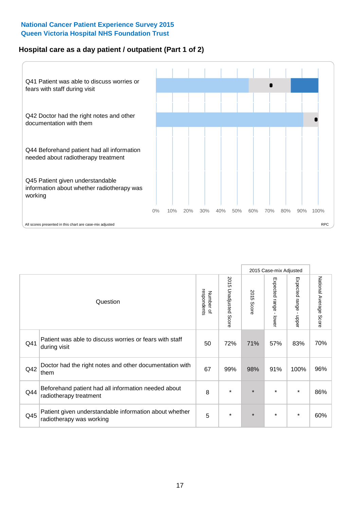# **Hospital care as a day patient / outpatient (Part 1 of 2)**



|     |                                                                                    |                          |                                 | 2015 Case-mix Adjusted |                                         |                                           |                        |
|-----|------------------------------------------------------------------------------------|--------------------------|---------------------------------|------------------------|-----------------------------------------|-------------------------------------------|------------------------|
|     | Question                                                                           | respondents<br>Number of | 2015<br><b>Unadjusted Score</b> | 2015<br><b>Score</b>   | Expected range<br>$\mathbf{I}$<br>lower | Expected range<br>$\blacksquare$<br>nbber | National Average Score |
| Q41 | Patient was able to discuss worries or fears with staff<br>during visit            | 50                       | 72%                             | 71%                    | 57%                                     | 83%                                       | 70%                    |
| Q42 | Doctor had the right notes and other documentation with<br>them                    | 67                       | 99%                             | 98%                    | 91%                                     | 100%                                      | 96%                    |
| Q44 | Beforehand patient had all information needed about<br>radiotherapy treatment      | 8                        | $\star$                         | $\star$                | $\star$                                 | $\star$                                   | 86%                    |
| Q45 | Patient given understandable information about whether<br>radiotherapy was working | 5                        | $\star$                         | $\star$                | $\star$                                 | $\star$                                   | 60%                    |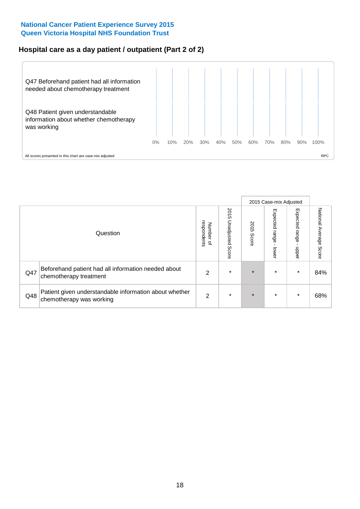# **Hospital care as a day patient / outpatient (Part 2 of 2)**



|     |                                                                                    |                                              |                          | 2015 Case-mix Adjusted |                            |                         |                        |
|-----|------------------------------------------------------------------------------------|----------------------------------------------|--------------------------|------------------------|----------------------------|-------------------------|------------------------|
|     | Question                                                                           | respondents<br>Number<br>$\overline{\sigma}$ | 2015<br>Unadjusted Score | 2015<br>Score          | Expected<br>range<br>lower | Expected range<br>nbper | National Average Score |
| Q47 | Beforehand patient had all information needed about<br>chemotherapy treatment      | 2                                            | $\star$                  | $\star$                | $\star$                    | $\star$                 | 84%                    |
| Q48 | Patient given understandable information about whether<br>chemotherapy was working | $\overline{2}$                               | $\ast$                   | $\star$                | $\star$                    | $\ast$                  | 68%                    |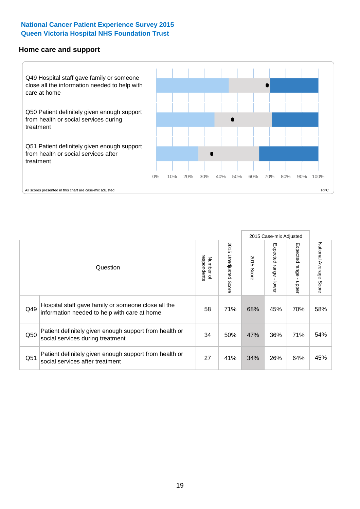#### **Home care and support**



|     |                                                                                                     |                          |                       |               | 2015 Case-mix Adjusted       |                         |                        |
|-----|-----------------------------------------------------------------------------------------------------|--------------------------|-----------------------|---------------|------------------------------|-------------------------|------------------------|
|     | Question                                                                                            | respondents<br>Number of | 2015 Unadjusted Score | 2015<br>Score | Expected<br>l range<br>lower | Expected range<br>nbber | National Average Score |
| Q49 | Hospital staff gave family or someone close all the<br>information needed to help with care at home | 58                       | 71%                   | 68%           | 45%                          | 70%                     | 58%                    |
| Q50 | Patient definitely given enough support from health or<br>social services during treatment          | 34                       | 50%                   | 47%           | 36%                          | 71%                     | 54%                    |
| Q51 | Patient definitely given enough support from health or<br>social services after treatment           | 27                       | 41%                   | 34%           | 26%                          | 64%                     | 45%                    |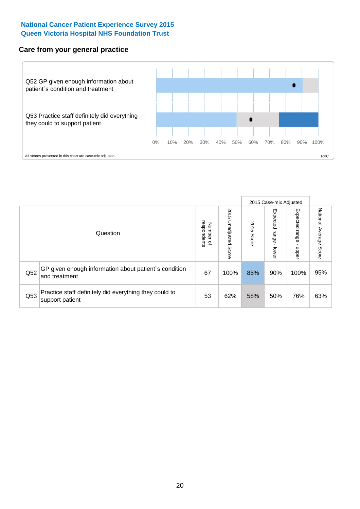### **Care from your general practice**



|     |                                                                           |                                       |                             | 2015 Case-mix Adjusted |                                   |                        |                           |
|-----|---------------------------------------------------------------------------|---------------------------------------|-----------------------------|------------------------|-----------------------------------|------------------------|---------------------------|
|     | Question                                                                  | respondents<br>Number<br>$\mathbf{Q}$ | 2015<br>Unadjusted<br>Score | 2015<br>Score          | Expected<br><b>range</b><br>lower | Expected range<br>dddn | National Average<br>Score |
| Q52 | GP given enough information about patient's condition<br>and treatment    | 67                                    | 100%                        | 85%                    | 90%                               | 100%                   | 95%                       |
| Q53 | Practice staff definitely did everything they could to<br>support patient | 53                                    | 62%                         | 58%                    | 50%                               | 76%                    | 63%                       |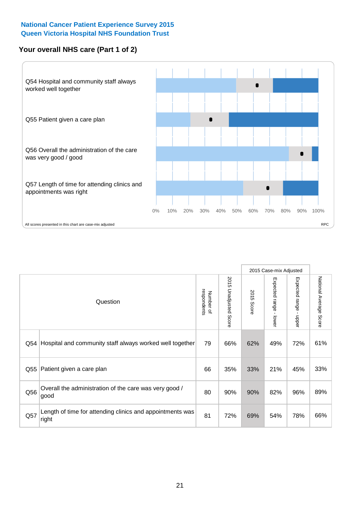# **Your overall NHS care (Part 1 of 2)**



|     |                                                                    |                          |                          | 2015 Case-mix Adjusted |                                           |                                           |                        |
|-----|--------------------------------------------------------------------|--------------------------|--------------------------|------------------------|-------------------------------------------|-------------------------------------------|------------------------|
|     | Question                                                           | respondents<br>Number of | 2015<br>Unadjusted Score | 2015<br>Score          | Expected range<br>$\blacksquare$<br>lower | Expected range<br>$\blacksquare$<br>nbber | National Average Score |
| Q54 | Hospital and community staff always worked well together           | 79                       | 66%                      | 62%                    | 49%                                       | 72%                                       | 61%                    |
| Q55 | Patient given a care plan                                          | 66                       | 35%                      | 33%                    | 21%                                       | 45%                                       | 33%                    |
| Q56 | Overall the administration of the care was very good /<br>good     | 80                       | 90%                      | 90%                    | 82%                                       | 96%                                       | 89%                    |
| Q57 | Length of time for attending clinics and appointments was<br>right | 81                       | 72%                      | 69%                    | 54%                                       | 78%                                       | 66%                    |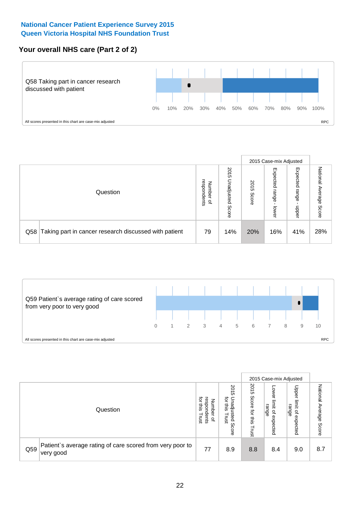# **Your overall NHS care (Part 2 of 2)**



|     |                                                       |                                              |                                 |               | 2015 Case-mix Adjusted     |                            |                        |
|-----|-------------------------------------------------------|----------------------------------------------|---------------------------------|---------------|----------------------------|----------------------------|------------------------|
|     | Question                                              | respondents<br>Number<br>$\overline{\sigma}$ | 2015<br>Unadjusted<br>S<br>core | 2015<br>Score | Expected<br>range<br>lower | Expected<br>range<br>dpper | National Average Score |
| Q58 | Taking part in cancer research discussed with patient | 79                                           | 14%                             | 20%           | 16%                        | 41%                        | 28%                    |



|     |                                                                         |                                                                          | 2015 Case-mix Adjusted                                                 |                                         |                                                      |                                                            |                           |
|-----|-------------------------------------------------------------------------|--------------------------------------------------------------------------|------------------------------------------------------------------------|-----------------------------------------|------------------------------------------------------|------------------------------------------------------------|---------------------------|
|     | Question                                                                | ਹ੍ਰੋ<br>espon<br>Number<br>this<br>dents<br>Trust<br>$\overline{\sigma}$ | 201<br>ហ<br>ਹ੍ਰੋ<br>ş<br>adju<br>sins<br>lsted<br>Trust<br>m<br>Ö<br>J | 2015<br>Score<br>ğ<br>in<br>Si<br>Trust | OWer<br>limit<br>range<br>$\overline{a}$<br>expected | Upper<br>limit<br>range<br>$\overline{\sigma}$<br>expected | National Average<br>Score |
| Q59 | Patient's average rating of care scored from very poor to<br>!very good | 77                                                                       | 8.9                                                                    | 8.8                                     | 8.4                                                  | 9.0                                                        | 8.7                       |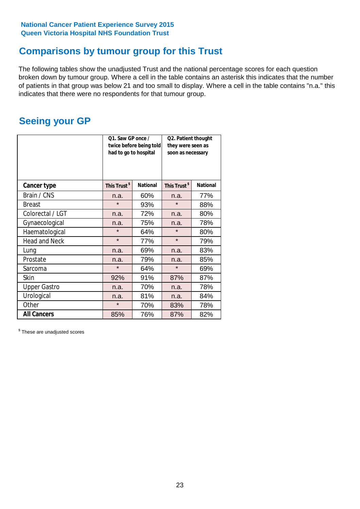# **Comparisons by tumour group for this Trust**

The following tables show the unadjusted Trust and the national percentage scores for each question broken down by tumour group. Where a cell in the table contains an asterisk this indicates that the number of patients in that group was below 21 and too small to display. Where a cell in the table contains "n.a." this indicates that there were no respondents for that tumour group.

# **Seeing your GP**

|                      | Q1. Saw GP once /<br>had to go to hospital | twice before being told | Q2. Patient thought<br>they were seen as<br>soon as necessary |                 |  |
|----------------------|--------------------------------------------|-------------------------|---------------------------------------------------------------|-----------------|--|
| <b>Cancer type</b>   | This Trust <sup>\$</sup>                   | <b>National</b>         | This Trust <sup>\$</sup>                                      | <b>National</b> |  |
| Brain / CNS          | n.a.                                       | 60%                     | n.a.                                                          | 77%             |  |
| <b>Breast</b>        | $\star$                                    | 93%                     | $\star$                                                       | 88%             |  |
| Colorectal / LGT     | n.a.                                       | 72%                     | n.a.                                                          | 80%             |  |
| Gynaecological       | n.a.                                       | 75%                     | n.a.                                                          | 78%             |  |
| Haematological       | $\star$                                    | 64%                     | $\star$                                                       | 80%             |  |
| <b>Head and Neck</b> | $\star$                                    | 77%                     | $\star$                                                       | 79%             |  |
| Lung                 | n.a.                                       | 69%                     | n.a.                                                          | 83%             |  |
| Prostate             | n.a.                                       | 79%                     | n.a.                                                          | 85%             |  |
| Sarcoma              | $\star$                                    | 64%                     | $\star$                                                       | 69%             |  |
| Skin                 | 92%                                        | 91%                     | 87%                                                           | 87%             |  |
| <b>Upper Gastro</b>  | n.a.                                       | 70%                     | n.a.                                                          | 78%             |  |
| Urological           | n.a.                                       | 81%                     | n.a.                                                          | 84%             |  |
| Other                | $\star$                                    | 70%                     | 83%                                                           | 78%             |  |
| <b>All Cancers</b>   | 85%                                        | 76%                     | 87%                                                           | 82%             |  |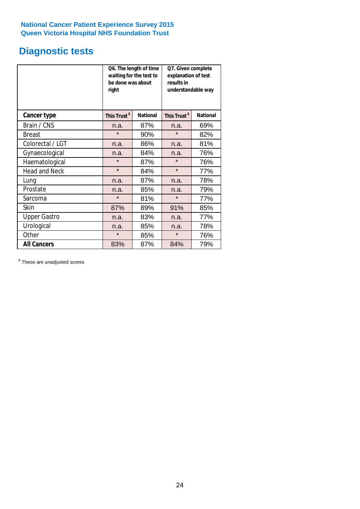# **Diagnostic tests**

|                      | be done was about<br>right | Q6. The length of time<br>waiting for the test to | Q7. Given complete<br>explanation of test<br>results in<br>understandable way |                 |  |
|----------------------|----------------------------|---------------------------------------------------|-------------------------------------------------------------------------------|-----------------|--|
| <b>Cancer type</b>   | This Trust <sup>\$</sup>   | <b>National</b>                                   | This Trust <sup>\$</sup>                                                      | <b>National</b> |  |
| Brain / CNS          | n.a.                       | 87%                                               | n.a.                                                                          | 69%             |  |
| <b>Breast</b>        | $\star$                    | 90%                                               | $\star$                                                                       | 82%             |  |
| Colorectal / LGT     | n.a.                       | 86%                                               | n.a.                                                                          | 81%             |  |
| Gynaecological       | n.a.                       | 84%                                               | n.a.                                                                          | 76%             |  |
| Haematological       | $\star$                    | 87%                                               | $\star$                                                                       | 76%             |  |
| <b>Head and Neck</b> | $\star$                    | 84%                                               | $\star$                                                                       | 77%             |  |
| Lung                 | n.a.                       | 87%                                               | n.a.                                                                          | 78%             |  |
| Prostate             | n.a.                       | 85%                                               | n.a.                                                                          | 79%             |  |
| Sarcoma              | $\star$                    | 81%                                               | $\star$                                                                       | 77%             |  |
| <b>Skin</b>          | 87%                        | 89%                                               | 91%                                                                           | 85%             |  |
| <b>Upper Gastro</b>  | n.a.                       | 83%                                               | n.a.                                                                          | 77%             |  |
| Urological           | n.a.                       | 85%                                               | n.a.                                                                          | 78%             |  |
| Other                | $\star$                    | 85%                                               | $\star$                                                                       | 76%             |  |
| <b>All Cancers</b>   | 83%                        | 87%                                               | 84%                                                                           | 79%             |  |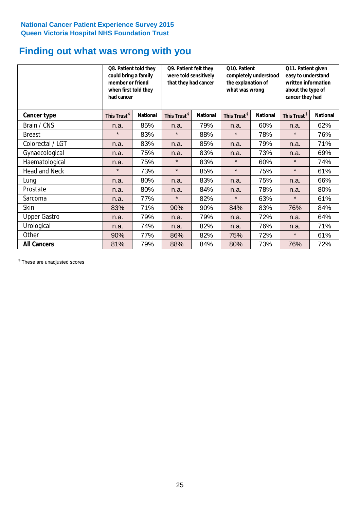# **Finding out what was wrong with you**

|                      | Q8. Patient told they<br>could bring a family<br>member or friend<br>when first told they<br>had cancer |                 | Q9. Patient felt they<br>were told sensitively<br>that they had cancer |                 | Q10. Patient<br>completely understood<br>the explanation of<br>what was wrong |                 | Q11. Patient given<br>easy to understand<br>written information<br>about the type of<br>cancer they had |                 |
|----------------------|---------------------------------------------------------------------------------------------------------|-----------------|------------------------------------------------------------------------|-----------------|-------------------------------------------------------------------------------|-----------------|---------------------------------------------------------------------------------------------------------|-----------------|
| Cancer type          | This Trust <sup>\$</sup>                                                                                | <b>National</b> | This Trust <sup>\$</sup>                                               | <b>National</b> | This Trust <sup>\$</sup>                                                      | <b>National</b> | This Trust <sup>\$</sup>                                                                                | <b>National</b> |
| Brain / CNS          | n.a.                                                                                                    | 85%             | n.a.                                                                   | 79%             | n.a.                                                                          | 60%             | n.a.                                                                                                    | 62%             |
| <b>Breast</b>        | $\star$                                                                                                 | 83%             | $\star$                                                                | 88%             | $\star$                                                                       | 78%             | $\star$                                                                                                 | 76%             |
| Colorectal / LGT     | n.a.                                                                                                    | 83%             | n.a.                                                                   | 85%             | n.a.                                                                          | 79%             | n.a.                                                                                                    | 71%             |
| Gynaecological       | n.a.                                                                                                    | 75%             | n.a.                                                                   | 83%             | n.a.                                                                          | 73%             | n.a.                                                                                                    | 69%             |
| Haematological       | n.a.                                                                                                    | 75%             | $\star$                                                                | 83%             | $\star$                                                                       | 60%             | $\star$                                                                                                 | 74%             |
| <b>Head and Neck</b> | $\star$                                                                                                 | 73%             | $\star$                                                                | 85%             | $\star$                                                                       | 75%             | $\star$                                                                                                 | 61%             |
| Lung                 | n.a.                                                                                                    | 80%             | n.a.                                                                   | 83%             | n.a.                                                                          | 75%             | n.a.                                                                                                    | 66%             |
| Prostate             | n.a.                                                                                                    | 80%             | n.a.                                                                   | 84%             | n.a.                                                                          | 78%             | n.a.                                                                                                    | 80%             |
| Sarcoma              | n.a.                                                                                                    | 77%             | $\star$                                                                | 82%             | $\star$                                                                       | 63%             | $\star$                                                                                                 | 61%             |
| Skin                 | 83%                                                                                                     | 71%             | 90%                                                                    | 90%             | 84%                                                                           | 83%             | 76%                                                                                                     | 84%             |
| <b>Upper Gastro</b>  | n.a.                                                                                                    | 79%             | n.a.                                                                   | 79%             | n.a.                                                                          | 72%             | n.a.                                                                                                    | 64%             |
| Urological           | n.a.                                                                                                    | 74%             | n.a.                                                                   | 82%             | n.a.                                                                          | 76%             | n.a.                                                                                                    | 71%             |
| Other                | 90%                                                                                                     | 77%             | 86%                                                                    | 82%             | 75%                                                                           | 72%             | $\star$                                                                                                 | 61%             |
| <b>All Cancers</b>   | 81%                                                                                                     | 79%             | 88%                                                                    | 84%             | 80%                                                                           | 73%             | 76%                                                                                                     | 72%             |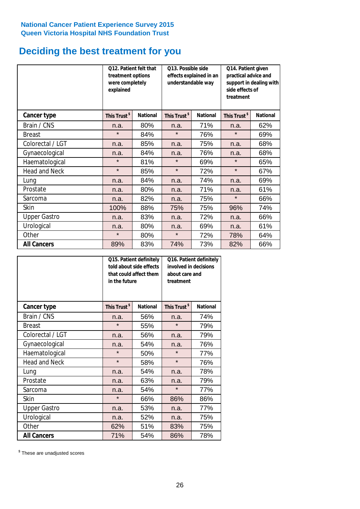# **Deciding the best treatment for you**

|                      | 012. Patient felt that<br>treatment options<br>were completely<br>explained |                 | 013. Possible side<br>understandable way | effects explained in an | Q14. Patient given<br>practical advice and<br>support in dealing with<br>side effects of<br>treatment |                 |  |
|----------------------|-----------------------------------------------------------------------------|-----------------|------------------------------------------|-------------------------|-------------------------------------------------------------------------------------------------------|-----------------|--|
| <b>Cancer type</b>   | This Trust <sup>\$</sup>                                                    | <b>National</b> | This Trust <sup>\$</sup>                 | <b>National</b>         | This Trust <sup>\$</sup>                                                                              | <b>National</b> |  |
| Brain / CNS          | n.a.                                                                        | 80%             | n.a.                                     | 71%                     | n.a.                                                                                                  | 62%             |  |
| <b>Breast</b>        | $\star$                                                                     | 84%             | $\star$                                  | 76%                     | $\star$                                                                                               | 69%             |  |
| Colorectal / LGT     | n.a.                                                                        | 85%             | n.a.                                     | 75%                     | n.a.                                                                                                  | 68%             |  |
| Gynaecological       | n.a.                                                                        | 84%             | n.a.                                     | 76%                     | n.a.                                                                                                  | 68%             |  |
| Haematological       | $\star$                                                                     | 81%             | $\star$                                  | 69%                     | $\star$                                                                                               | 65%             |  |
| <b>Head and Neck</b> | $\star$                                                                     | 85%             | $\star$                                  | 72%                     | $\star$                                                                                               | 67%             |  |
| Lung                 | n.a.                                                                        | 84%             | n.a.                                     | 74%                     | n.a.                                                                                                  | 69%             |  |
| Prostate             | n.a.                                                                        | 80%             | n.a.                                     | 71%                     | n.a.                                                                                                  | 61%             |  |
| Sarcoma              | n.a.                                                                        | 82%             | n.a.                                     | 75%                     | $\star$                                                                                               | 66%             |  |
| Skin                 | 100%                                                                        | 88%             | 75%                                      | 75%                     | 96%                                                                                                   | 74%             |  |
| <b>Upper Gastro</b>  | n.a.                                                                        | 83%             | n.a.                                     | 72%                     | n.a.                                                                                                  | 66%             |  |
| Urological           | n.a.                                                                        | 80%             | n.a.                                     | 69%                     | n.a.                                                                                                  | 61%             |  |
| Other                | $\star$                                                                     | 80%             | $\star$                                  | 72%                     | 78%                                                                                                   | 64%             |  |
| <b>All Cancers</b>   | 89%                                                                         | 83%             | 74%                                      | 73%                     | 82%                                                                                                   | 66%             |  |

|                      | in the future            | Q15. Patient definitely<br>told about side effects<br>that could affect them | Q16. Patient definitely<br>involved in decisions<br>about care and<br>treatment |                 |  |
|----------------------|--------------------------|------------------------------------------------------------------------------|---------------------------------------------------------------------------------|-----------------|--|
| <b>Cancer type</b>   | This Trust <sup>\$</sup> | <b>National</b>                                                              | This Trust <sup>\$</sup>                                                        | <b>National</b> |  |
| Brain / CNS          | n.a.                     | 56%                                                                          | n.a.                                                                            | 74%             |  |
| <b>Breast</b>        | $\star$                  | 55%                                                                          | $\star$                                                                         | 79%             |  |
| Colorectal / LGT     | n.a.                     | 56%                                                                          | n.a.                                                                            | 79%             |  |
| Gynaecological       | n.a.                     | 54%                                                                          |                                                                                 | 76%             |  |
| Haematological       | $\star$                  | 50%                                                                          |                                                                                 | 77%             |  |
| <b>Head and Neck</b> | $\star$                  | 58%                                                                          | $\star$                                                                         | 76%             |  |
| Lung                 | n.a.                     | 54%                                                                          | n.a.                                                                            | 78%             |  |
| Prostate             | n.a.                     | 63%                                                                          | n.a.                                                                            | 79%             |  |
| Sarcoma              | n.a.                     | 54%                                                                          | $\star$                                                                         | 77%             |  |
| <b>Skin</b>          | $\star$                  | 66%                                                                          | 86%                                                                             | 86%             |  |
| <b>Upper Gastro</b>  | n.a.                     | 53%                                                                          | n.a.                                                                            | 77%             |  |
| Urological           | n.a.                     | 52%                                                                          | n.a.                                                                            | 75%             |  |
| Other                | 62%                      | 51%                                                                          | 83%                                                                             | 75%             |  |
| <b>All Cancers</b>   | 71%                      | 54%                                                                          | 86%                                                                             | 78%             |  |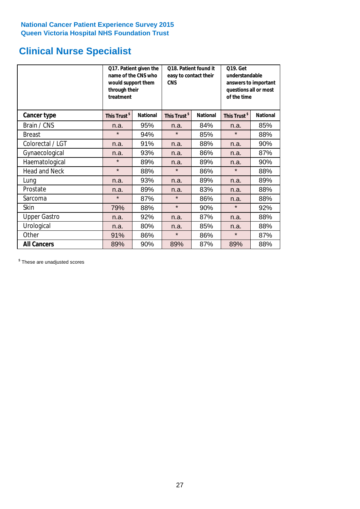# **Clinical Nurse Specialist**

|                      | would support them<br>through their<br>treatment | Q17. Patient given the<br>name of the CNS who | Q18. Patient found it<br>easy to contact their<br><b>CNS</b> |                 | <b>Q19. Get</b><br>understandable<br>answers to important<br>questions all or most<br>of the time |                 |
|----------------------|--------------------------------------------------|-----------------------------------------------|--------------------------------------------------------------|-----------------|---------------------------------------------------------------------------------------------------|-----------------|
| <b>Cancer type</b>   | This Trust <sup>\$</sup>                         | <b>National</b>                               | This Trust <sup>\$</sup>                                     | <b>National</b> | This Trust <sup>\$</sup>                                                                          | <b>National</b> |
| Brain / CNS          | n.a.                                             | 95%                                           | n.a.                                                         | 84%             | n.a.                                                                                              | 85%             |
| <b>Breast</b>        | $\star$                                          | 94%                                           | $\star$                                                      | 85%             | $\star$                                                                                           | 88%             |
| Colorectal / LGT     | n.a.                                             | 91%                                           | n.a.                                                         | 88%             | n.a.                                                                                              | 90%             |
| Gynaecological       | n.a.                                             | 93%                                           | 86%<br>n.a.                                                  |                 | n.a.                                                                                              | 87%             |
| Haematological       | $\star$                                          | 89%                                           | n.a.                                                         | 89%             | n.a.                                                                                              | 90%             |
| <b>Head and Neck</b> | $\star$                                          | 88%                                           | $\star$                                                      | 86%             | $\star$                                                                                           | 88%             |
| Lung                 | n.a.                                             | 93%                                           | n.a.                                                         | 89%             | n.a.                                                                                              | 89%             |
| Prostate             | n.a.                                             | 89%                                           | n.a.                                                         | 83%             | n.a.                                                                                              | 88%             |
| Sarcoma              | $\star$                                          | 87%                                           | $\star$                                                      | 86%             | n.a.                                                                                              | 88%             |
| Skin                 | 79%                                              | 88%                                           | $\star$                                                      | 90%             | $\star$                                                                                           | 92%             |
| <b>Upper Gastro</b>  | n.a.                                             | 92%                                           | n.a.                                                         | 87%             | n.a.                                                                                              | 88%             |
| Urological           | n.a.                                             | 80%                                           | n.a.                                                         | 85%             | n.a.                                                                                              | 88%             |
| Other                | 91%                                              | 86%                                           | $\star$                                                      | 86%             | $\star$                                                                                           | 87%             |
| <b>All Cancers</b>   | 89%                                              | 90%                                           | 89%                                                          | 87%             | 89%                                                                                               | 88%             |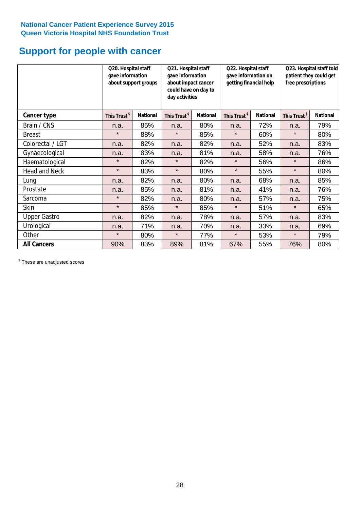# **Support for people with cancer**

|                      |                          | Q20. Hospital staff<br>Q21. Hospital staff<br>gave information<br>gave information<br>about support groups<br>about impact cancer<br>could have on day to<br>day activities |                          |                 | Q22. Hospital staff<br>gave information on<br>getting financial help |                 | Q23. Hospital staff told<br>patient they could get<br>free prescriptions |                 |
|----------------------|--------------------------|-----------------------------------------------------------------------------------------------------------------------------------------------------------------------------|--------------------------|-----------------|----------------------------------------------------------------------|-----------------|--------------------------------------------------------------------------|-----------------|
| Cancer type          | This Trust <sup>\$</sup> | <b>National</b>                                                                                                                                                             | This Trust <sup>\$</sup> | <b>National</b> | This Trust <sup>\$</sup>                                             | <b>National</b> | This Trust <sup>\$</sup>                                                 | <b>National</b> |
| Brain / CNS          | n.a.                     | 85%                                                                                                                                                                         | n.a.                     | 80%             | n.a.                                                                 | 72%             | n.a.                                                                     | 79%             |
| <b>Breast</b>        | $\star$                  | 88%                                                                                                                                                                         | $\star$                  | 85%             | $\star$                                                              | 60%             | $\star$                                                                  | 80%             |
| Colorectal / LGT     | n.a.                     | 82%                                                                                                                                                                         | n.a.                     | 82%             | n.a.                                                                 | 52%             | n.a.                                                                     | 83%             |
| Gynaecological       | n.a.                     | 83%                                                                                                                                                                         | n.a.                     | 81%             | n.a.                                                                 | 58%             | n.a.                                                                     | 76%             |
| Haematological       | $\star$                  | 82%                                                                                                                                                                         | $\star$                  | 82%             | $\star$                                                              | 56%             | $\star$                                                                  | 86%             |
| <b>Head and Neck</b> | $\star$                  | 83%                                                                                                                                                                         | $\star$                  | 80%             | $\star$                                                              | 55%             | $\star$                                                                  | 80%             |
| Lung                 | n.a.                     | 82%                                                                                                                                                                         | n.a.                     | 80%             | n.a.                                                                 | 68%             | n.a.                                                                     | 85%             |
| Prostate             | n.a.                     | 85%                                                                                                                                                                         | n.a.                     | 81%             | n.a.                                                                 | 41%             | n.a.                                                                     | 76%             |
| Sarcoma              | $\star$                  | 82%                                                                                                                                                                         | n.a.                     | 80%             | n.a.                                                                 | 57%             | n.a.                                                                     | 75%             |
| Skin                 | $\star$                  | 85%                                                                                                                                                                         | $\star$                  | 85%             | $\star$                                                              | 51%             | $\star$                                                                  | 65%             |
| <b>Upper Gastro</b>  | n.a.                     | 82%                                                                                                                                                                         | n.a.                     | 78%             | n.a.                                                                 | 57%             | n.a.                                                                     | 83%             |
| Urological           | n.a.                     | 71%                                                                                                                                                                         | n.a.                     | 70%             | n.a.                                                                 | 33%             | n.a.                                                                     | 69%             |
| Other                | $\star$                  | 80%                                                                                                                                                                         | $\star$                  | 77%             | $\star$                                                              | 53%             | $\star$                                                                  | 79%             |
| <b>All Cancers</b>   | 90%                      | 83%                                                                                                                                                                         | 89%                      | 81%             | 67%                                                                  | 55%             | 76%                                                                      | 80%             |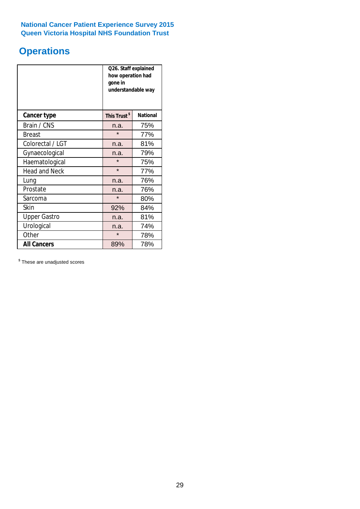# **Operations**

|                      | Q26. Staff explained<br>how operation had<br>gone in<br>understandable way |                 |  |  |
|----------------------|----------------------------------------------------------------------------|-----------------|--|--|
| <b>Cancer type</b>   | This Trust <sup>\$</sup>                                                   | <b>National</b> |  |  |
| Brain / CNS          | n.a.                                                                       | 75%             |  |  |
| <b>Breast</b>        | $\star$                                                                    | 77%             |  |  |
| Colorectal / LGT     | n.a.                                                                       | 81%             |  |  |
| Gynaecological       | 79%<br>n.a.                                                                |                 |  |  |
| Haematological       | $\star$<br>75%                                                             |                 |  |  |
| <b>Head and Neck</b> | $\star$                                                                    | 77%             |  |  |
| Lung                 | n.a.                                                                       | 76%             |  |  |
| Prostate             | n.a.                                                                       | 76%             |  |  |
| Sarcoma              | $\star$                                                                    | 80%             |  |  |
| Skin                 | 92%                                                                        | 84%             |  |  |
| <b>Upper Gastro</b>  | n.a.                                                                       | 81%             |  |  |
| Urological           | n.a.                                                                       | 74%             |  |  |
| Other                | $\star$<br>78%                                                             |                 |  |  |
| <b>All Cancers</b>   | 89%                                                                        | 78%             |  |  |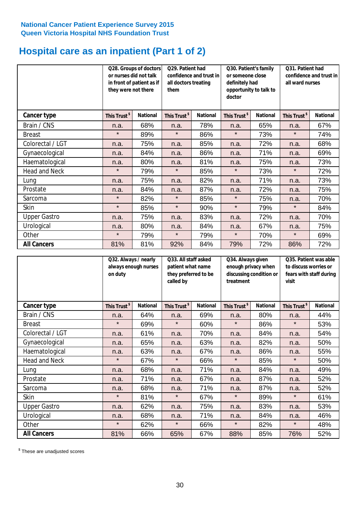# **Hospital care as an inpatient (Part 1 of 2)**

|                      | or nurses did not talk<br>they were not there | Q28. Groups of doctors<br>in front of patient as if | Q29. Patient had<br>confidence and trust in<br>all doctors treating<br>them |                 | Q30. Patient's family<br>or someone close<br>definitely had<br>opportunity to talk to<br>doctor |                 | Q31. Patient had<br>confidence and trust in I<br>all ward nurses |                 |
|----------------------|-----------------------------------------------|-----------------------------------------------------|-----------------------------------------------------------------------------|-----------------|-------------------------------------------------------------------------------------------------|-----------------|------------------------------------------------------------------|-----------------|
| Cancer type          | This Trust <sup>\$</sup>                      | <b>National</b>                                     | This Trust <sup>\$</sup>                                                    | <b>National</b> | This Trust <sup>\$</sup>                                                                        | <b>National</b> | This Trust <sup>\$</sup>                                         | <b>National</b> |
| Brain / CNS          | n.a.                                          | 68%                                                 | n.a.                                                                        | 78%             | n.a.                                                                                            | 65%             | n.a.                                                             | 67%             |
| <b>Breast</b>        | $\star$                                       | 89%                                                 | $\star$                                                                     | 86%             | $\star$                                                                                         | 73%             | $\star$                                                          | 74%             |
| Colorectal / LGT     | n.a.                                          | 75%                                                 | n.a.                                                                        | 85%             | n.a.                                                                                            | 72%             | n.a.                                                             | 68%             |
| Gynaecological       | n.a.                                          | 84%                                                 | n.a.                                                                        | 86%             | n.a.                                                                                            | 71%             | n.a.                                                             | 69%             |
| Haematological       | n.a.                                          | 80%                                                 | n.a.                                                                        | 81%             | n.a.                                                                                            | 75%             | n.a.                                                             | 73%             |
| <b>Head and Neck</b> | $\star$                                       | 79%                                                 | $\star$                                                                     | 85%             | $\star$                                                                                         | 73%             | $\star$                                                          | 72%             |
| Lung                 | n.a.                                          | 75%                                                 | n.a.                                                                        | 82%             | n.a.                                                                                            | 71%             | n.a.                                                             | 73%             |
| Prostate             | n.a.                                          | 84%                                                 | n.a.                                                                        | 87%             | n.a.                                                                                            | 72%             | n.a.                                                             | 75%             |
| Sarcoma              | $\star$                                       | 82%                                                 | $\star$                                                                     | 85%             | $\star$                                                                                         | 75%             | n.a.                                                             | 70%             |
| Skin                 | $\star$                                       | 85%                                                 | $\star$                                                                     | 90%             | $\star$                                                                                         | 79%             | $\star$                                                          | 84%             |
| <b>Upper Gastro</b>  | n.a.                                          | 75%                                                 | n.a.                                                                        | 83%             | n.a.                                                                                            | 72%             | n.a.                                                             | 70%             |
| Urological           | n.a.                                          | 80%                                                 | n.a.                                                                        | 84%             | n.a.                                                                                            | 67%             | n.a.                                                             | 75%             |
| Other                | $\star$                                       | 79%                                                 | $\star$                                                                     | 79%             | $^\star$                                                                                        | 70%             | $\star$                                                          | 69%             |
| <b>All Cancers</b>   | 81%                                           | 81%                                                 | 92%                                                                         | 84%             | 79%                                                                                             | 72%             | 86%                                                              | 72%             |

|                     | Q32. Always / nearly<br>always enough nurses<br>on duty |                 | called by                | Q33. All staff asked<br>patient what name<br>they preferred to be |                          | Q34. Always given<br>enough privacy when<br>discussing condition or<br>treatment |                          | Q35. Patient was able<br>to discuss worries or<br>fears with staff during<br>visit |  |
|---------------------|---------------------------------------------------------|-----------------|--------------------------|-------------------------------------------------------------------|--------------------------|----------------------------------------------------------------------------------|--------------------------|------------------------------------------------------------------------------------|--|
| <b>Cancer type</b>  | This Trust <sup>\$</sup>                                | <b>National</b> | This Trust <sup>\$</sup> | <b>National</b>                                                   | This Trust <sup>\$</sup> | <b>National</b>                                                                  | This Trust <sup>\$</sup> | <b>National</b>                                                                    |  |
| Brain / CNS         | n.a.                                                    | 64%             | n.a.                     | 69%                                                               | n.a.                     | 80%                                                                              | n.a.                     | 44%                                                                                |  |
| <b>Breast</b>       | $\star$                                                 | 69%             | $\star$                  | 60%                                                               | $\star$                  | 86%                                                                              | $\star$                  | 53%                                                                                |  |
| Colorectal / LGT    | n.a.                                                    | 61%             | n.a.                     | 70%                                                               | n.a.                     | 84%                                                                              | n.a.                     | 54%                                                                                |  |
| Gynaecological      | n.a.                                                    | 65%             | n.a.                     | 63%                                                               | n.a.                     | 82%                                                                              | n.a.                     | 50%                                                                                |  |
| Haematological      | n.a.                                                    | 63%             | n.a.                     | 67%                                                               | n.a.                     | 86%                                                                              | n.a.                     | 55%                                                                                |  |
| Head and Neck       | $\star$                                                 | 67%             | $\star$                  | 66%                                                               | $\star$                  | 85%                                                                              | $\star$                  | 50%                                                                                |  |
| Lung                | n.a.                                                    | 68%             | n.a.                     | 71%                                                               | n.a.                     | 84%                                                                              | n.a.                     | 49%                                                                                |  |
| Prostate            | n.a.                                                    | 71%             | n.a.                     | 67%                                                               | n.a.                     | 87%                                                                              | n.a.                     | 52%                                                                                |  |
| Sarcoma             | n.a.                                                    | 68%             | n.a.                     | 71%                                                               | n.a.                     | 87%                                                                              | n.a.                     | 52%                                                                                |  |
| Skin                | $\star$                                                 | 81%             | $\star$                  | 67%                                                               | $\star$                  | 89%                                                                              | $\star$                  | 61%                                                                                |  |
| <b>Upper Gastro</b> | n.a.                                                    | 62%             | n.a.                     | 75%                                                               | n.a.                     | 83%                                                                              | n.a.                     | 53%                                                                                |  |
| Urological          | n.a.                                                    | 68%             | n.a.                     | 71%                                                               | n.a.                     | 84%                                                                              | n.a.                     | 46%                                                                                |  |
| Other               | $\star$                                                 | 62%             | $\star$                  | 66%                                                               | $\star$                  | 82%                                                                              | $\star$                  | 48%                                                                                |  |
| <b>All Cancers</b>  | 81%                                                     | 66%             | 65%                      | 67%                                                               | 88%                      | 85%                                                                              | 76%                      | 52%                                                                                |  |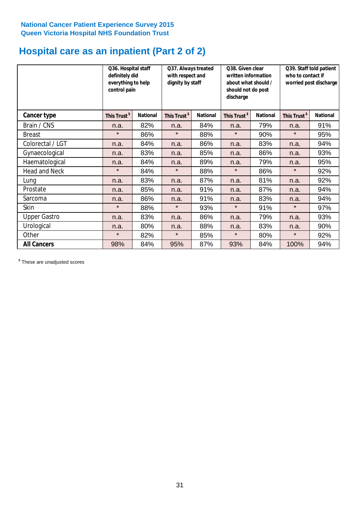# **Hospital care as an inpatient (Part 2 of 2)**

|                      | Q36. Hospital staff<br>definitely did<br>everything to help<br>control pain |                 | Q37. Always treated<br>with respect and<br>dignity by staff |                 | Q38. Given clear<br>written information<br>about what should /<br>should not do post<br>discharge |                 | Q39. Staff told patient<br>who to contact if<br>worried post discharge |                 |  |
|----------------------|-----------------------------------------------------------------------------|-----------------|-------------------------------------------------------------|-----------------|---------------------------------------------------------------------------------------------------|-----------------|------------------------------------------------------------------------|-----------------|--|
| Cancer type          | This Trust <sup>\$</sup>                                                    | <b>National</b> | This Trust <sup>\$</sup>                                    | <b>National</b> | This Trust <sup>\$</sup>                                                                          | <b>National</b> | This Trust <sup>\$</sup>                                               | <b>National</b> |  |
| Brain / CNS          | n.a.                                                                        | 82%             | n.a.                                                        | 84%             | n.a.                                                                                              | 79%             | n.a.                                                                   | 91%             |  |
| <b>Breast</b>        | $\star$                                                                     | 86%             | $\star$                                                     | 88%             | $\star$                                                                                           | 90%             | $\star$                                                                | 95%             |  |
| Colorectal / LGT     | n.a.                                                                        | 84%             | n.a.                                                        | 86%             | n.a.                                                                                              | 83%             | n.a.                                                                   | 94%             |  |
| Gynaecological       | n.a.                                                                        | 83%             | n.a.                                                        | 85%             | n.a.                                                                                              | 86%             | n.a.                                                                   | 93%             |  |
| Haematological       | n.a.                                                                        | 84%             | n.a.                                                        | 89%             | n.a.                                                                                              | 79%             | n.a.                                                                   | 95%             |  |
| <b>Head and Neck</b> | $\star$                                                                     | 84%             | $\star$                                                     | 88%             | $\star$                                                                                           | 86%             | $\star$                                                                | 92%             |  |
| Lung                 | n.a.                                                                        | 83%             | n.a.                                                        | 87%             | n.a.                                                                                              | 81%             | n.a.                                                                   | 92%             |  |
| Prostate             | n.a.                                                                        | 85%             | n.a.                                                        | 91%             | n.a.                                                                                              | 87%             | n.a.                                                                   | 94%             |  |
| Sarcoma              | n.a.                                                                        | 86%             | n.a.                                                        | 91%             | n.a.                                                                                              | 83%             | n.a.                                                                   | 94%             |  |
| Skin                 | $\star$                                                                     | 88%             | $\star$                                                     | 93%             | $\star$                                                                                           | 91%             | $\star$                                                                | 97%             |  |
| <b>Upper Gastro</b>  | n.a.                                                                        | 83%             | n.a.                                                        | 86%             | n.a.                                                                                              | 79%             | n.a.                                                                   | 93%             |  |
| Urological           | n.a.                                                                        | 80%             | n.a.                                                        | 88%             | n.a.                                                                                              | 83%             | n.a.                                                                   | 90%             |  |
| Other                | $\star$                                                                     | 82%             | $\star$                                                     | 85%             | $\star$                                                                                           | 80%             | $\star$                                                                | 92%             |  |
| <b>All Cancers</b>   | 98%                                                                         | 84%             | 95%                                                         | 87%             | 93%                                                                                               | 84%             | 100%                                                                   | 94%             |  |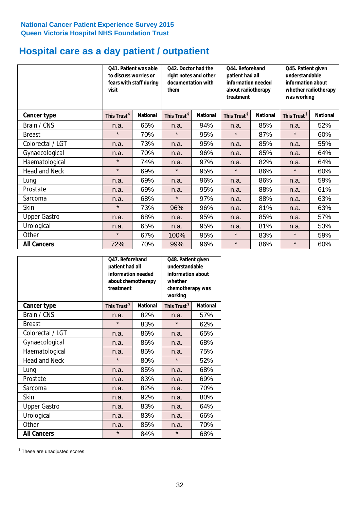# **Hospital care as a day patient / outpatient**

|                     | to discuss worries or<br>visit | Q41. Patient was able<br>fears with staff during | Q42. Doctor had the<br>right notes and other<br>documentation with<br>them |                 | Q44. Beforehand<br>patient had all<br>information needed<br>about radiotherapy<br>treatment |                 | Q45. Patient given<br>understandable<br>information about<br>whether radiotherapy<br>was working |                 |
|---------------------|--------------------------------|--------------------------------------------------|----------------------------------------------------------------------------|-----------------|---------------------------------------------------------------------------------------------|-----------------|--------------------------------------------------------------------------------------------------|-----------------|
| Cancer type         | This Trust <sup>\$</sup>       | <b>National</b>                                  | This Trust <sup>\$</sup>                                                   | <b>National</b> | This Trust <sup>\$</sup>                                                                    | <b>National</b> | This Trust <sup>\$</sup>                                                                         | <b>National</b> |
| Brain / CNS         | n.a.                           | 65%                                              | n.a.                                                                       | 94%             | n.a.                                                                                        | 85%             | n.a.                                                                                             | 52%             |
| <b>Breast</b>       | $\star$                        | 70%                                              | $\star$                                                                    | 95%             | $\star$                                                                                     | 87%             | $\star$                                                                                          | 60%             |
| Colorectal / LGT    | n.a.                           | 73%                                              | n.a.                                                                       | 95%             | n.a.                                                                                        | 85%             | n.a.                                                                                             | 55%             |
| Gynaecological      | n.a.                           | 70%                                              | n.a.                                                                       | 96%             | n.a.                                                                                        | 85%             | n.a.                                                                                             | 64%             |
| Haematological      | $\star$                        | 74%                                              | n.a.                                                                       | 97%             | n.a.                                                                                        | 82%             | n.a.                                                                                             | 64%             |
| Head and Neck       | $\star$                        | 69%                                              | $\star$                                                                    | 95%             | $\star$                                                                                     | 86%             | $\star$                                                                                          | 60%             |
| Lung                | n.a.                           | 69%                                              | n.a.                                                                       | 96%             | n.a.                                                                                        | 86%             | n.a.                                                                                             | 59%             |
| Prostate            | n.a.                           | 69%                                              | n.a.                                                                       | 95%             | n.a.                                                                                        | 88%             | n.a.                                                                                             | 61%             |
| Sarcoma             | n.a.                           | 68%                                              | $\star$                                                                    | 97%             | n.a.                                                                                        | 88%             | n.a.                                                                                             | 63%             |
| Skin                | $\star$                        | 73%                                              | 96%                                                                        | 96%             | n.a.                                                                                        | 81%             | n.a.                                                                                             | 63%             |
| <b>Upper Gastro</b> | n.a.                           | 68%                                              | n.a.                                                                       | 95%             | n.a.                                                                                        | 85%             | n.a.                                                                                             | 57%             |
| Urological          | n.a.                           | 65%                                              | n.a.                                                                       | 95%             | n.a.                                                                                        | 81%             | n.a.                                                                                             | 53%             |
| Other               | $\star$                        | 67%                                              | 100%                                                                       | 95%             | $\star$                                                                                     | 83%             | $\star$                                                                                          | 59%             |
| <b>All Cancers</b>  | 72%                            | 70%                                              | 99%                                                                        | 96%             | $\star$                                                                                     | 86%             | $\star$                                                                                          | 60%             |

|                      | Q47. Beforehand<br>patient had all<br>information needed<br>about chemotherapy<br>treatment |                 | Q48. Patient given<br>understandable<br>information about<br>whether<br>chemotherapy was<br>working |                 |  |
|----------------------|---------------------------------------------------------------------------------------------|-----------------|-----------------------------------------------------------------------------------------------------|-----------------|--|
| <b>Cancer type</b>   | This Trust <sup>\$</sup>                                                                    | <b>National</b> | This Trust <sup>\$</sup>                                                                            | <b>National</b> |  |
| Brain / CNS          | n.a.                                                                                        | 82%             | n.a.                                                                                                | 57%             |  |
| <b>Breast</b>        | $\star$                                                                                     | 83%             | $\star$                                                                                             | 62%             |  |
| Colorectal / LGT     | n.a.                                                                                        | 86%             | n.a.                                                                                                | 65%             |  |
| Gynaecological       | n.a.                                                                                        | 86%             |                                                                                                     | 68%             |  |
| Haematological       | 85%<br>n.a.                                                                                 |                 | n.a.                                                                                                | 75%             |  |
| <b>Head and Neck</b> | $\star$                                                                                     | 80%             | $\star$                                                                                             | 52%             |  |
| Lung                 | n.a.                                                                                        | 85%             | n.a.                                                                                                | 68%             |  |
| Prostate             | n.a.                                                                                        | 83%             | n.a.                                                                                                | 69%             |  |
| Sarcoma              | n.a.                                                                                        | 82%             | n.a.                                                                                                | 70%             |  |
| Skin                 | n.a.                                                                                        | 92%             | n.a.                                                                                                | 80%             |  |
| <b>Upper Gastro</b>  | n.a.                                                                                        | 83%             | n.a.                                                                                                | 64%             |  |
| Urological           | n.a.                                                                                        | 83%             | n.a.                                                                                                | 66%             |  |
| Other                | n.a.                                                                                        | 85%             | n.a.                                                                                                | 70%             |  |
| <b>All Cancers</b>   | $\star$                                                                                     | 84%             | $\star$                                                                                             | 68%             |  |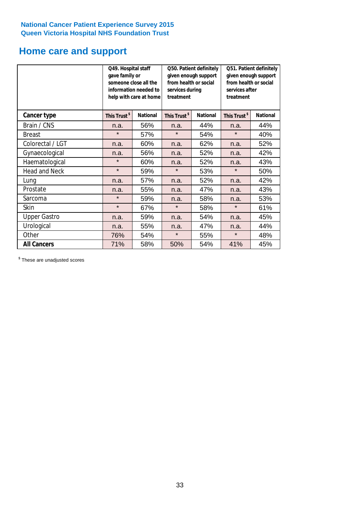# **Home care and support**

|                      | Q49. Hospital staff<br>Q50. Patient definitely<br>gave family or<br>given enough support<br>from health or social<br>someone close all the<br>information needed to<br>services during<br>help with care at home<br>treatment |                 |                          | Q51. Patient definitely<br>given enough support<br>from health or social<br>services after<br>treatment |                          |                 |
|----------------------|-------------------------------------------------------------------------------------------------------------------------------------------------------------------------------------------------------------------------------|-----------------|--------------------------|---------------------------------------------------------------------------------------------------------|--------------------------|-----------------|
| <b>Cancer type</b>   | This Trust <sup>\$</sup>                                                                                                                                                                                                      | <b>National</b> | This Trust <sup>\$</sup> | <b>National</b>                                                                                         | This Trust <sup>\$</sup> | <b>National</b> |
| Brain / CNS          | n.a.                                                                                                                                                                                                                          | 56%             | n.a.                     | 44%                                                                                                     | n.a.                     | 44%             |
| <b>Breast</b>        | $\star$                                                                                                                                                                                                                       | 57%             | $\star$                  | 54%                                                                                                     | $\star$                  | 40%             |
| Colorectal / LGT     | n.a.                                                                                                                                                                                                                          | 60%             | n.a.                     | 62%                                                                                                     | n.a.                     | 52%             |
| Gynaecological       | n.a.                                                                                                                                                                                                                          | 56%             | n.a.                     | 52%                                                                                                     | n.a.                     | 42%             |
| Haematological       | $\star$                                                                                                                                                                                                                       | 60%             |                          | 52%                                                                                                     | n.a.                     | 43%             |
| <b>Head and Neck</b> | $\star$                                                                                                                                                                                                                       | 59%             | $\star$                  | 53%                                                                                                     | $\star$                  | 50%             |
| Lung                 | n.a.                                                                                                                                                                                                                          | 57%             | n.a.                     | 52%                                                                                                     | n.a.                     | 42%             |
| Prostate             | n.a.                                                                                                                                                                                                                          | 55%             | n.a.                     | 47%                                                                                                     | n.a.                     | 43%             |
| Sarcoma              | $\star$                                                                                                                                                                                                                       | 59%             | n.a.                     | 58%                                                                                                     | n.a.                     | 53%             |
| Skin                 | $\star$                                                                                                                                                                                                                       | 67%             | $\star$                  | 58%                                                                                                     | $\star$                  | 61%             |
| <b>Upper Gastro</b>  | n.a.                                                                                                                                                                                                                          | 59%             | n.a.                     | 54%                                                                                                     | n.a.                     | 45%             |
| Urological           | n.a.                                                                                                                                                                                                                          | 55%             | n.a.                     | 47%                                                                                                     | n.a.                     | 44%             |
| Other                | 76%                                                                                                                                                                                                                           | 54%             | $\star$                  | 55%                                                                                                     | $\star$                  | 48%             |
| <b>All Cancers</b>   | 71%                                                                                                                                                                                                                           | 58%             | 50%                      | 54%                                                                                                     | 41%                      | 45%             |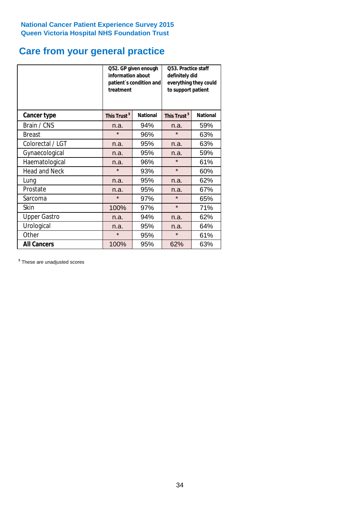# **Care from your general practice**

|                      | information about<br>treatment | Q52. GP given enough<br>patient's condition and | O53. Practice staff<br>definitely did<br>everything they could<br>to support patient |                 |  |
|----------------------|--------------------------------|-------------------------------------------------|--------------------------------------------------------------------------------------|-----------------|--|
| <b>Cancer type</b>   | This Trust <sup>\$</sup>       | <b>National</b>                                 | This Trust <sup>\$</sup>                                                             | <b>National</b> |  |
| Brain / CNS          | n.a.                           | 94%                                             | n.a.                                                                                 | 59%             |  |
| <b>Breast</b>        | $\star$                        | 96%                                             | $\star$                                                                              | 63%             |  |
| Colorectal / LGT     | n.a.                           | 95%                                             | n.a.                                                                                 | 63%             |  |
| Gynaecological       | n.a.                           | 95%                                             | n.a.                                                                                 | 59%             |  |
| Haematological       | n.a.                           | 96%                                             |                                                                                      | 61%             |  |
| <b>Head and Neck</b> | $\star$                        | 93%                                             | $\star$                                                                              | 60%             |  |
| Lung                 | n.a.                           | 95%                                             | n.a.                                                                                 | 62%             |  |
| Prostate             | n.a.                           | 95%                                             | n.a.                                                                                 | 67%             |  |
| Sarcoma              | $\star$                        | 97%                                             | $\star$                                                                              | 65%             |  |
| Skin                 | 100%                           | 97%                                             | $\star$                                                                              | 71%             |  |
| <b>Upper Gastro</b>  | n.a.                           | 94%                                             | n.a.                                                                                 | 62%             |  |
| Urological           | n.a.                           | 95%                                             | n.a.                                                                                 | 64%             |  |
| Other                | $\star$                        | 95%                                             | $\star$                                                                              | 61%             |  |
| <b>All Cancers</b>   | 100%                           | 95%                                             | 62%                                                                                  | 63%             |  |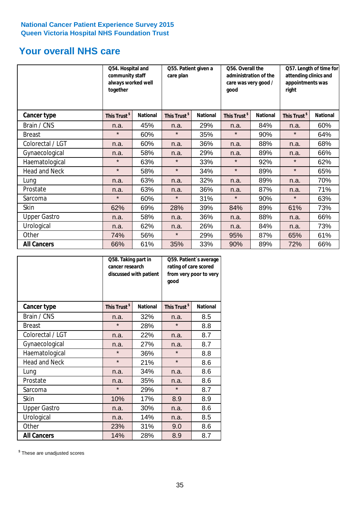# **Your overall NHS care**

|                      | together                 | Q54. Hospital and<br>community staff<br>always worked well |                          | Q55. Patient given a<br>care plan |                          | Q56. Overall the<br>administration of the<br>care was very good /<br>qood |                          | Q57. Length of time for<br>attending clinics and<br>appointments was<br>right |  |
|----------------------|--------------------------|------------------------------------------------------------|--------------------------|-----------------------------------|--------------------------|---------------------------------------------------------------------------|--------------------------|-------------------------------------------------------------------------------|--|
| Cancer type          | This Trust <sup>\$</sup> | <b>National</b>                                            | This Trust <sup>\$</sup> | <b>National</b>                   | This Trust <sup>\$</sup> | <b>National</b>                                                           | This Trust <sup>\$</sup> | <b>National</b>                                                               |  |
| Brain / CNS          | n.a.                     | 45%                                                        | n.a.                     | 29%                               | n.a.                     | 84%                                                                       | n.a.                     | 60%                                                                           |  |
| <b>Breast</b>        | $\star$                  | 60%                                                        | $\star$                  | 35%                               | $\star$                  | 90%                                                                       | $\star$                  | 64%                                                                           |  |
| Colorectal / LGT     | n.a.                     | 60%                                                        | n.a.                     | 36%                               | n.a.                     | 88%                                                                       | n.a.                     | 68%                                                                           |  |
| Gynaecological       | n.a.                     | 58%                                                        | n.a.                     | 29%                               | n.a.                     | 89%                                                                       | n.a.                     | 66%                                                                           |  |
| Haematological       | $\star$                  | 63%                                                        | $\star$                  | 33%                               | $\star$                  | 92%                                                                       | $\star$                  | 62%                                                                           |  |
| <b>Head and Neck</b> | $\star$                  | 58%                                                        | $\star$                  | 34%                               | $\star$                  | 89%                                                                       | $\star$                  | 65%                                                                           |  |
| Lung                 | n.a.                     | 63%                                                        | n.a.                     | 32%                               | n.a.                     | 89%                                                                       | n.a.                     | 70%                                                                           |  |
| Prostate             | n.a.                     | 63%                                                        | n.a.                     | 36%                               | n.a.                     | 87%                                                                       | n.a.                     | 71%                                                                           |  |
| Sarcoma              | $\star$                  | 60%                                                        | $\star$                  | 31%                               | $\star$                  | 90%                                                                       | $\star$                  | 63%                                                                           |  |
| Skin                 | 62%                      | 69%                                                        | 28%                      | 39%                               | 84%                      | 89%                                                                       | 61%                      | 73%                                                                           |  |
| <b>Upper Gastro</b>  | n.a.                     | 58%                                                        | n.a.                     | 36%                               | n.a.                     | 88%                                                                       | n.a.                     | 66%                                                                           |  |
| Urological           | n.a.                     | 62%                                                        | n.a.                     | 26%                               | n.a.                     | 84%                                                                       | n.a.                     | 73%                                                                           |  |
| Other                | 74%                      | 56%                                                        | $\star$                  | 29%                               | 95%                      | 87%                                                                       | 65%                      | 61%                                                                           |  |
| <b>All Cancers</b>   | 66%                      | 61%                                                        | 35%                      | 33%                               | 90%                      | 89%                                                                       | 72%                      | 66%                                                                           |  |

|                      | Q58. Taking part in<br>cancer research | discussed with patient | rating of care scored<br>good | Q59. Patient's average<br>from very poor to very |  |
|----------------------|----------------------------------------|------------------------|-------------------------------|--------------------------------------------------|--|
| <b>Cancer type</b>   | This Trust <sup>\$</sup>               | <b>National</b>        | This Trust <sup>\$</sup>      | <b>National</b>                                  |  |
| Brain / CNS          | n.a.                                   | 32%                    | n.a.                          | 8.5                                              |  |
| <b>Breast</b>        | $\star$                                | 28%                    | $\star$                       | 8.8                                              |  |
| Colorectal / LGT     | n.a.                                   | 22%                    | n.a.                          | 8.7                                              |  |
| Gynaecological       | 27%<br>n.a.                            |                        | n.a.                          | 8.7                                              |  |
| Haematological       | $\star$                                | 36%                    | $\star$                       | 8.8                                              |  |
| <b>Head and Neck</b> | $\star$                                | 21%                    | $\star$                       | 8.6                                              |  |
| Lung                 | n.a.                                   | 34%                    | n.a.                          | 8.6                                              |  |
| Prostate             | n.a.                                   | 35%                    | n.a.                          | 8.6                                              |  |
| Sarcoma              | $\star$                                | 29%                    | $\star$                       | 8.7                                              |  |
| Skin                 | 10%                                    | 17%                    | 8.9                           | 8.9                                              |  |
| <b>Upper Gastro</b>  | n.a.                                   | 30%                    | n.a.                          | 8.6                                              |  |
| Urological           | n.a.                                   | 14%                    | n.a.                          | 8.5                                              |  |
| Other                | 23%                                    | 31%                    | 9.0                           | 8.6                                              |  |
| <b>All Cancers</b>   | 14%                                    | 28%                    | 8.9                           | 8.7                                              |  |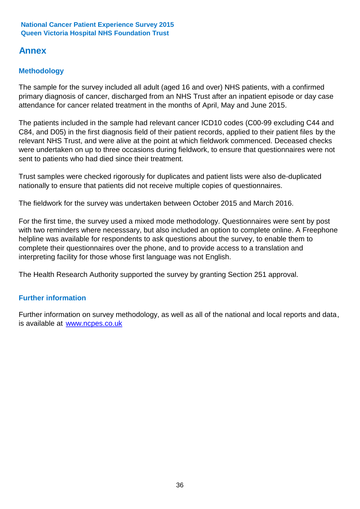# **Annex**

# **Methodology**

The sample for the survey included all adult (aged 16 and over) NHS patients, with a confirmed primary diagnosis of cancer, discharged from an NHS Trust after an inpatient episode or day case attendance for cancer related treatment in the months of April, May and June 2015.

The patients included in the sample had relevant cancer ICD10 codes (C00-99 excluding C44 and C84, and D05) in the first diagnosis field of their patient records, applied to their patient files by the relevant NHS Trust, and were alive at the point at which fieldwork commenced. Deceased checks were undertaken on up to three occasions during fieldwork, to ensure that questionnaires were not sent to patients who had died since their treatment.

Trust samples were checked rigorously for duplicates and patient lists were also de-duplicated nationally to ensure that patients did not receive multiple copies of questionnaires.

The fieldwork for the survey was undertaken between October 2015 and March 2016.

For the first time, the survey used a mixed mode methodology. Questionnaires were sent by post with two reminders where necesssary, but also included an option to complete online. A Freephone helpline was available for respondents to ask questions about the survey, to enable them to complete their questionnaires over the phone, and to provide access to a translation and interpreting facility for those whose first language was not English.

The Health Research Authority supported the survey by granting Section 251 approval.

# **Further information**

Further information on survey methodology, as well as all of the national and local reports and data, is available at www.ncpes.co.uk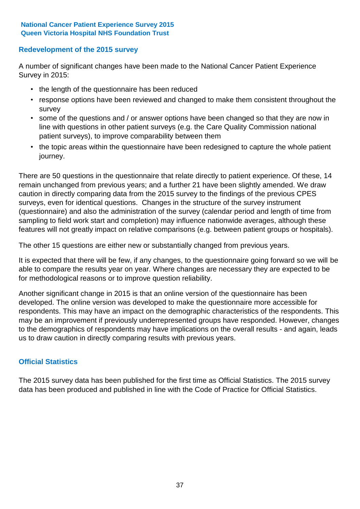# **Redevelopment of the 2015 survey**

A number of significant changes have been made to the National Cancer Patient Experience Survey in 2015:

- the length of the questionnaire has been reduced
- response options have been reviewed and changed to make them consistent throughout the survey
- some of the questions and / or answer options have been changed so that they are now in line with questions in other patient surveys (e.g. the Care Quality Commission national patient surveys), to improve comparability between them
- the topic areas within the questionnaire have been redesigned to capture the whole patient journey.

There are 50 questions in the questionnaire that relate directly to patient experience. Of these, 14 remain unchanged from previous years; and a further 21 have been slightly amended. We draw caution in directly comparing data from the 2015 survey to the findings of the previous CPES surveys, even for identical questions. Changes in the structure of the survey instrument (questionnaire) and also the administration of the survey (calendar period and length of time from sampling to field work start and completion) may influence nationwide averages, although these features will not greatly impact on relative comparisons (e.g. between patient groups or hospitals).

The other 15 questions are either new or substantially changed from previous years.

It is expected that there will be few, if any changes, to the questionnaire going forward so we will be able to compare the results year on year. Where changes are necessary they are expected to be for methodological reasons or to improve question reliability.

Another significant change in 2015 is that an online version of the questionnaire has been developed. The online version was developed to make the questionnaire more accessible for respondents. This may have an impact on the demographic characteristics of the respondents. This may be an improvement if previously underrepresented groups have responded. However, changes to the demographics of respondents may have implications on the overall results - and again, leads us to draw caution in directly comparing results with previous years.

# **Official Statistics**

The 2015 survey data has been published for the first time as Official Statistics. The 2015 survey data has been produced and published in line with the Code of Practice for Official Statistics.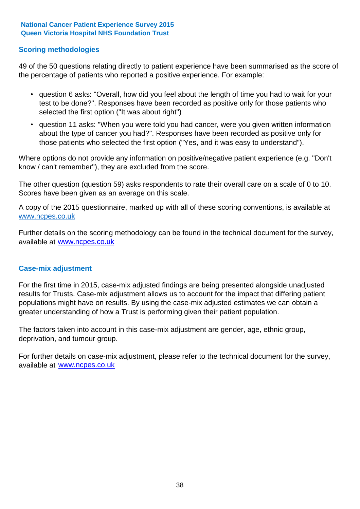# **Scoring methodologies**

49 of the 50 questions relating directly to patient experience have been summarised as the score of the percentage of patients who reported a positive experience. For example:

- question 6 asks: "Overall, how did you feel about the length of time you had to wait for your test to be done?". Responses have been recorded as positive only for those patients who selected the first option ("It was about right")
- question 11 asks: "When you were told you had cancer, were you given written information about the type of cancer you had?". Responses have been recorded as positive only for those patients who selected the first option ("Yes, and it was easy to understand").

Where options do not provide any information on positive/negative patient experience (e.g. "Don't know / can't remember"), they are excluded from the score.

The other question (question 59) asks respondents to rate their overall care on a scale of 0 to 10. Scores have been given as an average on this scale.

A copy of the 2015 questionnaire, marked up with all of these scoring conventions, is available at www.ncpes.co.uk

Further details on the scoring methodology can be found in the technical document for the survey, available at <u>www.ncpes.co.uk</u>

### **Case-mix adjustment**

For the first time in 2015, case-mix adjusted findings are being presented alongside unadjusted results for Trusts. Case-mix adjustment allows us to account for the impact that differing patient populations might have on results. By using the case-mix adjusted estimates we can obtain a greater understanding of how a Trust is performing given their patient population.

The factors taken into account in this case-mix adjustment are gender, age, ethnic group, deprivation, and tumour group.

For further details on case-mix adjustment, please refer to the technical document for the survey, available at www.ncpes.co.uk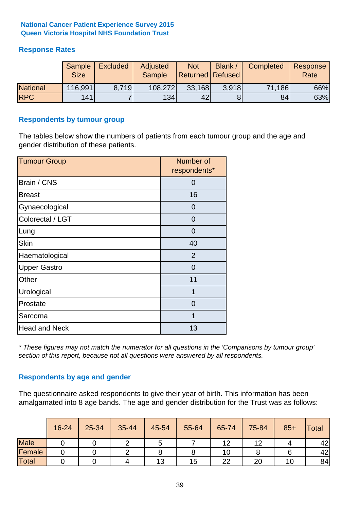# **Response Rates**

|                 | Sample<br><b>Size</b> | <b>Excluded</b> | Adjusted<br><b>Sample</b> | <b>Not</b><br>Returned   Refused | Blank / | Completed | Response<br>Rate |
|-----------------|-----------------------|-----------------|---------------------------|----------------------------------|---------|-----------|------------------|
| <b>National</b> | 116,991               | 8.719           | 108,272                   | 33,168                           | 3.918   | 71,186    | 66%              |
| <b>RPC</b>      | 141                   |                 | 134                       | 42                               |         | 84        | 63%              |

### **Respondents by tumour group**

The tables below show the numbers of patients from each tumour group and the age and gender distribution of these patients.

| <b>Tumour Group</b>  | Number of<br>respondents* |  |  |
|----------------------|---------------------------|--|--|
| Brain / CNS          | O                         |  |  |
| <b>Breast</b>        | 16                        |  |  |
| Gynaecological       | 0                         |  |  |
| Colorectal / LGT     | 0                         |  |  |
| Lung                 | 0                         |  |  |
| <b>Skin</b>          | 40                        |  |  |
| Haematological       | 2                         |  |  |
| <b>Upper Gastro</b>  | $\Omega$                  |  |  |
| Other                | 11                        |  |  |
| Urological           | 1                         |  |  |
| Prostate             | 0                         |  |  |
| Sarcoma              | 1                         |  |  |
| <b>Head and Neck</b> | 13                        |  |  |

*\* These figures may not match the numerator for all questions in the 'Comparisons by tumour group' section of this report, because not all questions were answered by all respondents.*

# **Respondents by age and gender**

The questionnaire asked respondents to give their year of birth. This information has been amalgamated into 8 age bands. The age and gender distribution for the Trust was as follows:

|             | 16-24 | 25-34 | 35-44 | 45-54 | 55-64 | 65-74 | 75-84 | $85+$ | <b>Total</b> |
|-------------|-------|-------|-------|-------|-------|-------|-------|-------|--------------|
| <b>Male</b> |       |       |       | ັ     |       | 12    | 12    |       | 42           |
| Female      |       |       |       |       |       | 10    |       |       | 42           |
| Total       |       |       |       | 13    | 15    | つつ    | 20    |       | 84           |